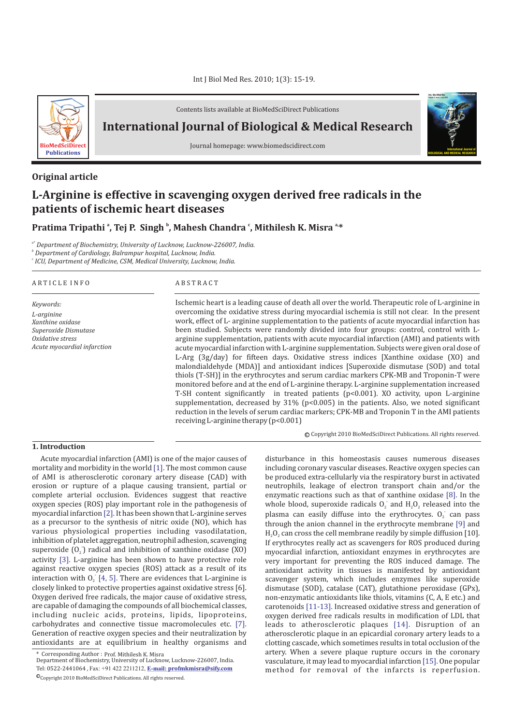

Contents lists available at BioMedSciDirect Publications

**International Journal of Biological & Medical Research** 



## **Original article**

# **L-Arginine is effective in scavenging oxygen derived free radicals in the patients of ischemic heart diseases**

# **Pratima Tripathi<sup>ª</sup>, Tej P. Singh<sup>b</sup>, Mahesh Chandra<sup>c</sup>, Mithilesh K. Misra<sup>a,\*</sup>**

*a\* Department of Biochemistry, University of Lucknow, Lucknow-226007, India.*

*b Department of Cardiology, Balrampur hospital, Lucknow, India.*

*c ICU, Department of Medicine, CSM, Medical University, Lucknow, India.*

#### A R T I C L E I N F O A B S T R A C T

*Keywords: L-arginine Xanthine oxidase Superoxide Dismutase Oxidative stress Acute myocardial infarction*

Ischemic heart is a leading cause of death all over the world. Therapeutic role of L-arginine in overcoming the oxidative stress during myocardial ischemia is still not clear. In the present work, effect of L- arginine supplementation to the patients of acute myocardial infarction has been studied. Subjects were randomly divided into four groups: control, control with Larginine supplementation, patients with acute myocardial infarction (AMI) and patients with acute myocardial infarction with L-arginine supplementation. Subjects were given oral dose of L-Arg (3g/day) for fifteen days. Oxidative stress indices [Xanthine oxidase (XO) and malondialdehyde (MDA)] and antioxidant indices [Superoxide dismutase (SOD) and total thiols (T-SH)] in the erythrocytes and serum cardiac markers CPK-MB and Troponin-T were monitored before and at the end of L-arginine therapy. L-arginine supplementation increased T-SH content significantly in treated patients  $(p<0.001)$ . XO activity, upon L-arginine supplementation, decreased by  $31\%$  (p<0.005) in the patients. Also, we noted significant reduction in the levels of serum cardiac markers; CPK-MB and Troponin T in the AMI patients receiving L-arginine therapy (p<0.001)

c Copyright 2010 BioMedSciDirect Publications. All rights reserved.

**International Journal of BIOLOGICAL AND MEDICAL RESEARCH**

**Int J Biol Med Res www.biomedscidirect.com Volume 3, Issue 3, July 2010**

### **1. Introduction**

Acute myocardial infarction (AMI) is one of the major causes of mortality and morbidity in the world [1]. The most common cause of AMI is atherosclerotic coronary artery disease (CAD) with erosion or rupture of a plaque causing transient, partial or complete arterial occlusion. Evidences suggest that reactive oxygen species (ROS) play important role in the pathogenesis of myocardial infarction  $[2]$ . It has been shown that L-arginine serves as a precursor to the synthesis of nitric oxide (NO), which has various physiological properties including vasodilatation, inhibition of platelet aggregation, neutrophil adhesion, scavenging superoxide  $(0<sub>2</sub>)$  radical and inhibition of xanthine oxidase (XO) activity [3]. L-arginine has been shown to have protective role against reactive oxygen species (ROS) attack as a result of its interaction with  $O<sub>2</sub>$  [4, 5]. There are evidences that L-arginine is closely linked to protective properties against oxidative stress [6]. Oxygen derived free radicals, the major cause of oxidative stress, are capable of damaging the compounds of all biochemical classes, including nucleic acids, proteins, lipids, lipoproteins, carbohydrates and connective tissue macromolecules etc. [7]. Generation of reactive oxygen species and their neutralization by antioxidants are at equilibrium in healthy organisms and

disturbance in this homeostasis causes numerous diseases including coronary vascular diseases. Reactive oxygen species can be produced extra-cellularly via the respiratory burst in activated neutrophils, leakage of electron transport chain and/or the enzymatic reactions such as that of xanthine oxidase  $[8]$ . In the whole blood, superoxide radicals  $O_2$  and  $H_2O_2$  released into the plasma can easily diffuse into the erythrocytes. O<sub>2</sub> can pass through the anion channel in the erythrocyte membrane  $[9]$  and  $H<sub>2</sub>O<sub>2</sub>$  can cross the cell membrane readily by simple diffusion [10]. If erythrocytes really act as scavengers for ROS produced during myocardial infarction, antioxidant enzymes in erythrocytes are very important for preventing the ROS induced damage. The antioxidant activity in tissues is manifested by antioxidant scavenger system, which includes enzymes like superoxide dismutase (SOD), catalase (CAT), glutathione peroxidase (GPx), non-enzymatic antioxidants like thiols, vitamins (C, A, E etc.) and carotenoids [11-13]. Increased oxidative stress and generation of oxygen derived free radicals results in modification of LDL that leads to atherosclerotic plaques [14]. Disruption of an atherosclerotic plaque in an epicardial coronary artery leads to a clotting cascade, which sometimes results in total occlusion of the artery. When a severe plaque rupture occurs in the coronary vasculature, it may lead to myocardial infarction [15]. One popular method for removal of the infarcts is reperfusion.

<sup>\*</sup> Corresponding Author : Prof. Mithilesh K. Misra

Tel: 0522-2441064 , Fax: +91 422 2211212, **E-mail: profmkmisra@sify.com**  $\mathbb{O}_{\text{Copyright 2010 } \text{Bi} \text{O} \text{MedSciDirect Publications.} }$  All rights reserved. Department of Biochemistry, University of Lucknow, Lucknow-226007, India.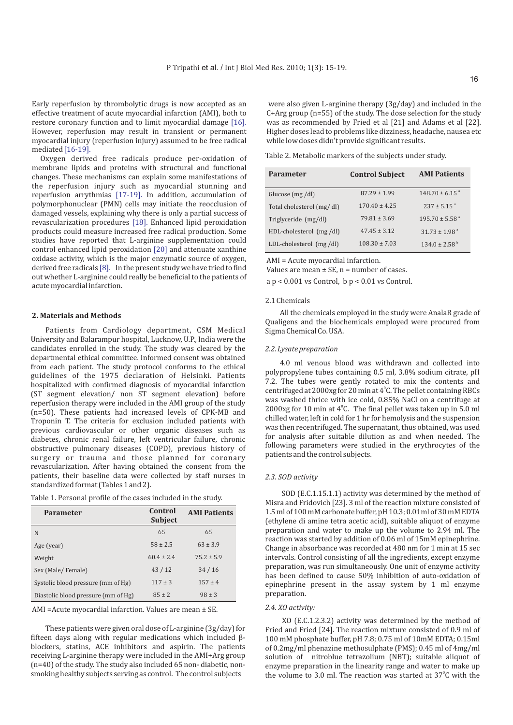Early reperfusion by thrombolytic drugs is now accepted as an effective treatment of acute myocardial infarction (AMI), both to restore coronary function and to limit myocardial damage [16]. However, reperfusion may result in transient or permanent myocardial injury (reperfusion injury) assumed to be free radical mediated [16-19].

Oxygen derived free radicals produce per-oxidation of membrane lipids and proteins with structural and functional changes. These mechanisms can explain some manifestations of the reperfusion injury such as myocardial stunning and reperfusion arrythmias [17-19]. In addition, accumulation of polymorphonuclear (PMN) cells may initiate the reocclusion of damaged vessels, explaining why there is only a partial success of revascularization procedures [18]. Enhanced lipid peroxidation products could measure increased free radical production. Some studies have reported that L-arginine supplementation could control enhanced lipid peroxidation [20] and attenuate xanthine oxidase activity, which is the major enzymatic source of oxygen, derived free radicals [8]. In the present study we have tried to find out whether L-arginine could really be beneficial to the patients of acute myocardial infarction.

#### **2. Materials and Methods**

Patients from Cardiology department, CSM Medical University and Balarampur hospital, Lucknow, U.P., India were the candidates enrolled in the study. The study was cleared by the departmental ethical committee. Informed consent was obtained from each patient. The study protocol conforms to the ethical guidelines of the 1975 declaration of Helsinki. Patients hospitalized with confirmed diagnosis of myocardial infarction (ST segment elevation/ non ST segment elevation) before reperfusion therapy were included in the AMI group of the study (n=50). These patients had increased levels of CPK-MB and Troponin T. The criteria for exclusion included patients with previous cardiovascular or other organic diseases such as diabetes, chronic renal failure, left ventricular failure, chronic obstructive pulmonary diseases (COPD), previous history of surgery or trauma and those planned for coronary revascularization. After having obtained the consent from the patients, their baseline data were collected by staff nurses in standardized format (Tables 1 and 2).

Table 1. Personal profile of the cases included in the study.

| <b>Parameter</b>                    | Control<br><b>Subject</b> | <b>AMI Patients</b> |
|-------------------------------------|---------------------------|---------------------|
| N                                   | 65                        | 65                  |
| Age (year)                          | $58 \pm 2.5$              | $63 \pm 3.9$        |
| Weight                              | $60.4 + 2.4$              | $75.2 \pm 5.9$      |
| Sex (Male/Female)                   | 43/12                     | 34/16               |
| Systolic blood pressure (mm of Hg)  | $117 \pm 3$               | $157 \pm 4$         |
| Diastolic blood pressure (mm of Hg) | $85 \pm 2$                | $98 \pm 3$          |

AMI =Acute myocardial infarction. Values are mean ± SE.

These patients were given oral dose of L-arginine (3g/day) for fifteen days along with regular medications which included  $\beta$ blockers, statins, ACE inhibitors and aspirin. The patients receiving L-arginine therapy were included in the AMI+Arg group (n=40) of the study. The study also included 65 non- diabetic, nonsmoking healthy subjects serving as control. The control subjects

were also given L-arginine therapy (3g/day) and included in the C+Arg group (n=55) of the study. The dose selection for the study was as recommended by Fried et al [21] and Adams et al [22]. Higher doses lead to problems like dizziness, headache, nausea etc while low doses didn't provide significant results.

Table 2. Metabolic markers of the subjects under study.

| <b>Parameter</b>          | <b>Control Subject</b> | <b>AMI Patients</b>            |
|---------------------------|------------------------|--------------------------------|
| Glucose $(mg/dl)$         | $87.29 \pm 1.99$       | $148.70 \pm 6.15$ <sup>a</sup> |
| Total cholesterol (mg/dl) | $170.40 \pm 4.25$      | $237 + 5.15$ <sup>a</sup>      |
| Triglyceride (mg/dl)      | $79.81 \pm 3.69$       | $195.70 \pm 5.58$ <sup>a</sup> |
| HDL-cholesterol (mg/dl)   | $47.45 + 3.12$         | $31.73 \pm 1.98$ <sup>a</sup>  |
| LDL-cholesterol (mg/dl)   | $108.30 \pm 7.03$      | $134.0 \pm 2.58^{\circ}$       |

AMI = Acute myocardial infarction.

Values are mean  $\pm$  SE, n = number of cases.

a p < 0.001 vs Control, b p < 0.01 vs Control.

#### 2.1 Chemicals

All the chemicals employed in the study were AnalaR grade of Qualigens and the biochemicals employed were procured from Sigma Chemical Co. USA.

#### *2.2. Lysate preparation*

4.0 ml venous blood was withdrawn and collected into polypropylene tubes containing 0.5 ml, 3.8% sodium citrate, pH 7.2. The tubes were gently rotated to mix the contents and centrifuged at 2000xg for 20 min at 4°C. The pellet containing RBCs was washed thrice with ice cold, 0.85% NaCl on a centrifuge at 2000xg for 10 min at  $4^{\circ}$ C. The final pellet was taken up in 5.0 ml chilled water, left in cold for 1 hr for hemolysis and the suspension was then recentrifuged. The supernatant, thus obtained, was used for analysis after suitable dilution as and when needed. The following parameters were studied in the erythrocytes of the patients and the control subjects.

#### *2.3. SOD activity*

SOD (E.C.1.15.1.1) activity was determined by the method of Misra and Fridovich [23]. 3 ml of the reaction mixture consisted of 1.5 ml of 100 mM carbonate buffer, pH 10.3; 0.01ml of 30 mM EDTA (ethylene di amine tetra acetic acid), suitable aliquot of enzyme preparation and water to make up the volume to 2.94 ml. The reaction was started by addition of 0.06 ml of 15mM epinephrine. Change in absorbance was recorded at 480 nm for 1 min at 15 sec intervals. Control consisting of all the ingredients, except enzyme preparation, was run simultaneously. One unit of enzyme activity has been defined to cause 50% inhibition of auto-oxidation of epinephrine present in the assay system by 1 ml enzyme preparation.

### *2.4. XO activity:*

XO (E.C.1.2.3.2) activity was determined by the method of Fried and Fried [24]. The reaction mixture consisted of 0.9 ml of 100 mM phosphate buffer, pH 7.8; 0.75 ml of 10mM EDTA; 0.15ml of 0.2mg/ml phenazine methosulphate (PMS); 0.45 ml of 4mg/ml solution of nitroblue tetrazolium (NBT); suitable aliquot of enzyme preparation in the linearity range and water to make up the volume to 3.0 ml. The reaction was started at  $37^{\circ}$ C with the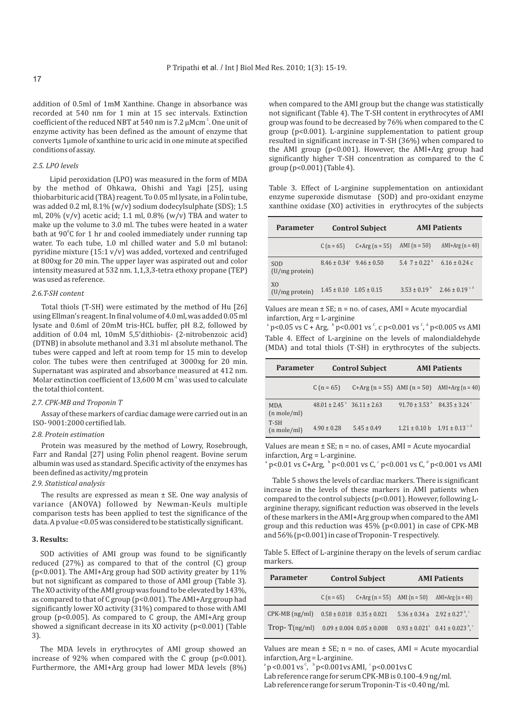addition of 0.5ml of 1mM Xanthine. Change in absorbance was recorded at 540 nm for 1 min at 15 sec intervals. Extinction coefficient of the reduced NBT at 540 nm is 7.2  $\mu$ Mcm<sup>-1</sup>. One unit of enzyme activity has been defined as the amount of enzyme that converts 1µmole of xanthine to uric acid in one minute at specified conditions of assay.

#### *2.5. LPO levels*

Lipid peroxidation (LPO) was measured in the form of MDA by the method of Ohkawa, Ohishi and Yagi [25], using thiobarbituric acid (TBA) reagent. To 0.05 ml lysate, in a Folin tube, was added 0.2 ml, 8.1% (w/v) sodium dodecylsulphate (SDS); 1.5 ml, 20% (v/v) acetic acid; 1.1 ml, 0.8% (w/v) TBA and water to make up the volume to 3.0 ml. The tubes were heated in a water bath at 90°C for 1 hr and cooled immediately under running tap water. To each tube, 1.0 ml chilled water and 5.0 ml butanol: pyridine mixture (15:1 v/v) was added, vortexed and centrifuged at 800xg for 20 min. The upper layer was aspirated out and color intensity measured at 532 nm. 1,1,3,3-tetra ethoxy propane (TEP) was used as reference.

#### *2.6.T-SH content*

Total thiols (T-SH) were estimated by the method of Hu [26] using Ellman's reagent. In final volume of 4.0 ml, was added 0.05 ml lysate and 0.6ml of 20mM tris-HCL buffer, pH 8.2, followed by addition of 0.04 ml, 10mM 5,5'dithiobis- (2-nitrobenzoic acid) (DTNB) in absolute methanol and 3.31 ml absolute methanol. The tubes were capped and left at room temp for 15 min to develop color. The tubes were then centrifuged at 3000xg for 20 min. Supernatant was aspirated and absorbance measured at 412 nm. Molar extinction coefficient of 13,600 M cm $1$ <sup>1</sup> was used to calculate the total thiol content.

#### *2.7. CPK-MB and Troponin T*

Assay of these markers of cardiac damage were carried out in an ISO- 9001:2000 certified lab.

#### *2.8. Protein estimation*

Protein was measured by the method of Lowry, Rosebrough, Farr and Randal [27] using Folin phenol reagent. Bovine serum albumin was used as standard. Specific activity of the enzymes has been defined as activity/mg protein

#### *2.9. Statistical analysis*

The results are expressed as mean  $\pm$  SE. One way analysis of variance (ANOVA) followed by Newman-Keuls multiple comparison tests has been applied to test the significance of the data. A p value <0.05 was considered to be statistically significant.

#### **3. Results:**

SOD activities of AMI group was found to be significantly reduced (27%) as compared to that of the control (C) group (p<0.001). The AMI+Arg group had SOD activity greater by 11% but not significant as compared to those of AMI group (Table 3). The XO activity of the AMI group was found to be elevated by 143%, as compared to that of C group (p<0.001). The AMI+Arg group had significantly lower XO activity (31%) compared to those with AMI group (p<0.005). As compared to C group, the AMI+Arg group showed a significant decrease in its XO activity (p<0.001) (Table 3).

The MDA levels in erythrocytes of AMI group showed an increase of 92% when compared with the C group  $(p<0.001)$ . Furthermore, the AMI+Arg group had lower MDA levels (8%) when compared to the AMI group but the change was statistically not significant (Table 4). The T-SH content in erythrocytes of AMI group was found to be decreased by 76% when compared to the C group (p<0.001). L-arginine supplementation to patient group resulted in significant increase in T-SH (36%) when compared to the AMI group (p<0.001). However, the AMI+Arg group had significantly higher T-SH concentration as compared to the C group (p<0.001) (Table 4).

Table 3. Effect of L-arginine supplementation on antioxidant enzyme superoxide dismutase (SOD) and pro-oxidant enzyme xanthine oxidase (XO) activities in erythrocytes of the subjects

| <b>Parameter</b>                    | <b>Control Subject</b>                  |                  | <b>AMI</b> Patients                       |                    |
|-------------------------------------|-----------------------------------------|------------------|-------------------------------------------|--------------------|
|                                     | C $(n = 65)$                            | $C+Arg (n = 55)$ | AMI $(n = 50)$                            | AMI+Arg $(n = 40)$ |
| SOD<br>$(U/mg)$ protein)            | $8.46 \pm 0.34^{\circ}$ 9.46 $\pm 0.50$ |                  | $5.47 \pm 0.22^{b}$ 6.16 $\pm 0.24$ c     |                    |
| X <sub>0</sub><br>$(U/mg)$ protein) | $1.45 \pm 0.10$ $1.05 \pm 0.15$         |                  | $3.53 \pm 0.19^{b}$ $2.46 \pm 0.19^{c,d}$ |                    |

Values are mean  $\pm$  SE; n = no. of cases, AMI = Acute myocardial infarction, Arg = L-arginine

 $\degree$  p<0.05 vs C + Arg,  $\degree$  p<0.001 vs  $\degree$ , c p<0.001 vs  $\degree$ ,  $\degree$  p<0.005 vs AMI Table 4. Effect of L-arginine on the levels of malondialdehyde (MDA) and total thiols (T-SH) in erythrocytes of the subjects.

| <b>Parameter</b>                    |                                                | <b>Control Subject</b> |                                                        | <b>AMI</b> Patients                          |  |
|-------------------------------------|------------------------------------------------|------------------------|--------------------------------------------------------|----------------------------------------------|--|
|                                     | $C(n = 65)$                                    |                        |                                                        | C+Arg (n = 55) AMI (n = 50) AMI+Arg (n = 40) |  |
| <b>MDA</b><br>$(n \text{ mole/ml})$ | $48.01 \pm 2.45$ <sup>a</sup> $36.11 \pm 2.63$ |                        | $91.70 \pm 3.53^{\circ}$ $84.35 \pm 3.24^{\circ}$      |                                              |  |
| T-SH<br>$(n \text{ mole/ml})$       | $4.90 \pm 0.28$                                | $5.45 \pm 0.49$        | $1.21 \pm 0.10 \text{ h}$ $1.91 \pm 0.13^{\text{c,d}}$ |                                              |  |

Values are mean  $\pm$  SE; n = no. of cases, AMI = Acute myocardial infarction, Arg = L-arginine.

 $^{\circ}$  p<0.01 vs C+Arg,  $^{\circ}$  p<0.001 vs C,  $^{\circ}$  p<0.001 vs C,  $^{\circ}$  p<0.001 vs AMI

Table 5 shows the levels of cardiac markers. There is significant increase in the levels of these markers in AMI patients when compared to the control subjects (p<0.001). However, following Larginine therapy, significant reduction was observed in the levels of these markers in the AMI+Arg group when compared to the AMI group and this reduction was 45% (p<0.001) in case of CPK-MB and 56% (p<0.001) in case of Troponin-T respectively.

Table 5. Effect of L-arginine therapy on the levels of serum cardiac markers.

| <b>Parameter</b>   | <b>Control Subject</b>            |                                   | <b>AMI Patients</b> |                                                                            |
|--------------------|-----------------------------------|-----------------------------------|---------------------|----------------------------------------------------------------------------|
|                    | $C(n = 65)$                       |                                   |                     | C+Arg $(n = 55)$ AMI $(n = 50)$ AMI+Arg $(n = 40)$                         |
| $CPK-MB$ $(ng/ml)$ | $0.58 \pm 0.018$ $0.35 \pm 0.021$ |                                   |                     | $5.36 \pm 0.34$ a $2.92 \pm 0.27$ <sup>b</sup> ,                           |
| $Trop-T(ng/ml)$    |                                   | $0.09 \pm 0.004$ $0.05 \pm 0.008$ |                     | $0.93 \pm 0.021$ <sup>a</sup> $0.41 \pm 0.023$ <sup>b</sup> , <sup>c</sup> |

Values are mean  $\pm$  SE; n = no. of cases, AMI = Acute myocardial infarction, Arg = L-arginine.

 $^{\circ}$  p <0.001 vs  $^{\circ}$ ,  $^{\circ}$  p<0.001 vs AMI,  $^{\circ}$  p<0.001 vs C

Lab reference range for serum CPK-MB is 0.100-4.9 ng/ml. Lab reference range for serum Troponin-T is <0.40 ng/ml.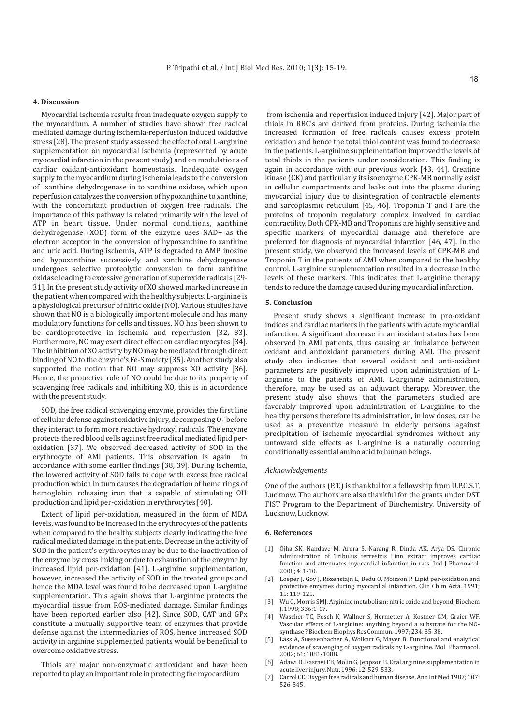#### **4. Discussion**

Myocardial ischemia results from inadequate oxygen supply to the myocardium. A number of studies have shown free radical mediated damage during ischemia-reperfusion induced oxidative stress [28]. The present study assessed the effect of oral L-arginine supplementation on myocardial ischemia (represented by acute myocardial infarction in the present study) and on modulations of cardiac oxidant-antioxidant homeostasis. Inadequate oxygen supply to the myocardium during ischemia leads to the conversion of xanthine dehydrogenase in to xanthine oxidase, which upon reperfusion catalyzes the conversion of hypoxanthine to xanthine, with the concomitant production of oxygen free radicals. The importance of this pathway is related primarily with the level of ATP in heart tissue. Under normal conditions, xanthine dehydrogenase (XOD) form of the enzyme uses NAD+ as the electron acceptor in the conversion of hypoxanthine to xanthine and uric acid. During ischemia, ATP is degraded to AMP, inosine and hypoxanthine successively and xanthine dehydrogenase undergoes selective proteolytic conversion to form xanthine oxidase leading to excessive generation of superoxide radicals [29- 31]. In the present study activity of XO showed marked increase in the patient when compared with the healthy subjects. L-arginine is a physiological precursor of nitric oxide (NO). Various studies have shown that NO is a biologically important molecule and has many modulatory functions for cells and tissues. NO has been shown to be cardioprotective in ischemia and reperfusion [32, 33]. Furthermore, NO may exert direct effect on cardiac myocytes [34]. The inhibition of XO activity by NO may be mediated through direct binding of NO to the enzyme's Fe-S moiety [35]. Another study also supported the notion that NO may suppress XO activity [36]. Hence, the protective role of NO could be due to its property of scavenging free radicals and inhibiting XO, this is in accordance with the present study.

SOD, the free radical scavenging enzyme, provides the first line of cellular defense against oxidative injury, decomposing O<sub>2</sub> before they interact to form more reactive hydroxyl radicals. The enzyme protects the red blood cells against free radical mediated lipid peroxidation [37]. We observed decreased activity of SOD in the erythrocyte of AMI patients. This observation is again in accordance with some earlier findings [38, 39]. During ischemia, the lowered activity of SOD fails to cope with excess free radical production which in turn causes the degradation of heme rings of **.** hemoglobin, releasing iron that is capable of stimulating OH production and lipid per-oxidation in erythrocytes [40].

Extent of lipid per-oxidation, measured in the form of MDA levels, was found to be increased in the erythrocytes of the patients when compared to the healthy subjects clearly indicating the free radical mediated damage in the patients. Decrease in the activity of SOD in the patient's erythrocytes may be due to the inactivation of the enzyme by cross linking or due to exhaustion of the enzyme by increased lipid per-oxidation [41]. L-arginine supplementation, however, increased the activity of SOD in the treated groups and hence the MDA level was found to be decreased upon L-arginine supplementation. This again shows that L-arginine protects the myocardial tissue from ROS-mediated damage. Similar findings have been reported earlier also [42]. Since SOD, CAT and GPx constitute a mutually supportive team of enzymes that provide defense against the intermediaries of ROS, hence increased SOD activity in arginine supplemented patients would be beneficial to overcome oxidative stress.

Thiols are major non-enzymatic antioxidant and have been reported to play an important role in protecting the myocardium

from ischemia and reperfusion induced injury [42]. Major part of thiols in RBC's are derived from proteins. During ischemia the increased formation of free radicals causes excess protein oxidation and hence the total thiol content was found to decrease in the patients. L-arginine supplementation improved the levels of total thiols in the patients under consideration. This finding is again in accordance with our previous work [43, 44]. Creatine kinase (CK) and particularly its isoenzyme CPK-MB normally exist in cellular compartments and leaks out into the plasma during myocardial injury due to disintegration of contractile elements and sarcoplasmic reticulum [45, 46]. Troponin T and I are the proteins of troponin regulatory complex involved in cardiac contractility. Both CPK-MB and Troponins are highly sensitive and specific markers of myocardial damage and therefore are preferred for diagnosis of myocardial infarction [46, 47]. In the present study, we observed the increased levels of CPK-MB and Troponin T in the patients of AMI when compared to the healthy control. L-arginine supplementation resulted in a decrease in the levels of these markers. This indicates that L-arginine therapy tends to reduce the damage caused during myocardial infarction.

#### **5. Conclusion**

Present study shows a significant increase in pro-oxidant indices and cardiac markers in the patients with acute myocardial infarction. A significant decrease in antioxidant status has been observed in AMI patients, thus causing an imbalance between oxidant and antioxidant parameters during AMI. The present study also indicates that several oxidant and anti-oxidant parameters are positively improved upon administration of Larginine to the patients of AMI. L-arginine administration, therefore, may be used as an adjuvant therapy. Moreover, the present study also shows that the parameters studied are favorably improved upon administration of L-arginine to the healthy persons therefore its administration, in low doses, can be used as a preventive measure in elderly persons against precipitation of ischemic myocardial syndromes without any untoward side effects as L-arginine is a naturally occurring conditionally essential amino acid to human beings.

#### *Acknowledgements*

One of the authors (P.T.) is thankful for a fellowship from U.P.C.S.T, Lucknow. The authors are also thankful for the grants under DST FIST Program to the Department of Biochemistry, University of Lucknow, Lucknow.

#### **6. References**

- [1] Ojha SK, Nandave M, Arora S, Narang R, Dinda AK, Arya DS. Chronic administration of Tribulus terrestris Linn extract improves cardiac function and attenuates myocardial infarction in rats. Ind I Pharmacol. 2008; 4: 1-10.
- [2] Loeper J, Goy J, Rozenstajn L, Bedu O, Moisson P. Lipid per-oxidation and protective enzymes during myocardial infarction. Clin Chim Acta. 1991; 15: 119-125.
- [3] Wu G, Morris SMJ. Arginine metabolism: nitric oxide and beyond. Biochem J. 1998; 336:1-17.
- [4] Wascher TC, Posch K, Wallner S, Hermetter A, Kostner GM, Graier WF. Vascular effects of L-arginine: anything beyond a substrate for the NOsynthase ? Biochem Biophys Res Commun. 1997; 234: 35-38.
- Lass A, Suessenbacher A, Wolkart G, Mayer B. Functional and analytical evidence of scavenging of oxygen radicals by L-arginine. Mol Pharmacol. 2002; 61: 1081-1088.
- [6] Adawi D, Kasravi FB, Molin G, Jeppson B. Oral arginine supplementation in acute liver injury. Nutr. 1996; 12: 529-533.
- [7] Carrol CE. Oxygen free radicals and human disease. Ann Int Med 1987; 107: 526-545.